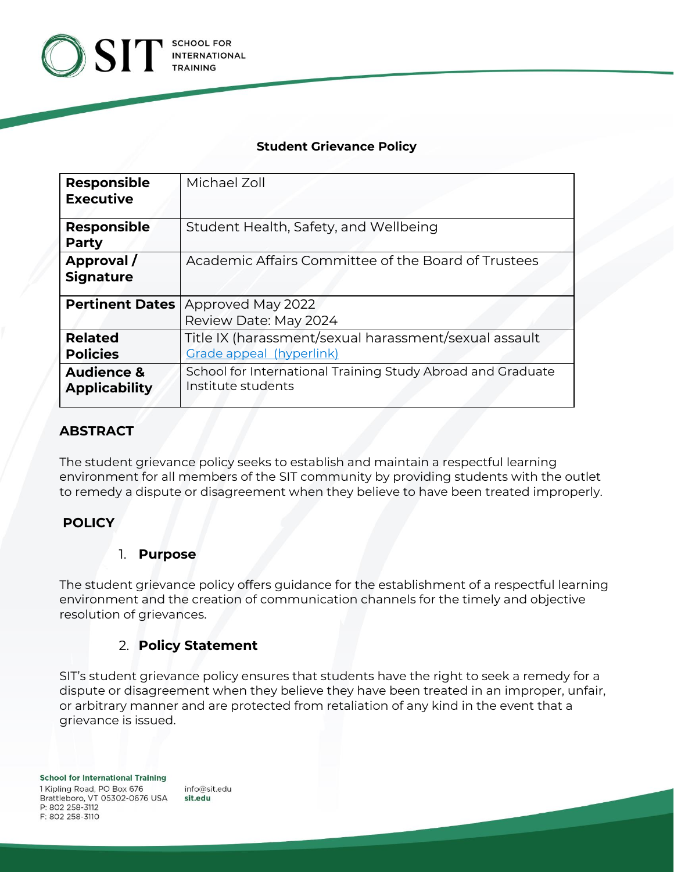

#### **Student Grievance Policy**

| <b>Responsible</b>     | Michael Zoll                                                |
|------------------------|-------------------------------------------------------------|
| <b>Executive</b>       |                                                             |
| <b>Responsible</b>     | Student Health, Safety, and Wellbeing                       |
| Party                  |                                                             |
| Approval/              | Academic Affairs Committee of the Board of Trustees         |
| <b>Signature</b>       |                                                             |
| <b>Pertinent Dates</b> | Approved May 2022                                           |
|                        | Review Date: May 2024                                       |
| <b>Related</b>         | Title IX (harassment/sexual harassment/sexual assault       |
| <b>Policies</b>        | Grade appeal (hyperlink)                                    |
| <b>Audience &amp;</b>  | School for International Training Study Abroad and Graduate |
| <b>Applicability</b>   | Institute students                                          |
|                        |                                                             |

# **ABSTRACT**

The student grievance policy seeks to establish and maintain a respectful learning environment for all members of the SIT community by providing students with the outlet to remedy a dispute or disagreement when they believe to have been treated improperly.

## **POLICY**

### 1. **Purpose**

The student grievance policy offers guidance for the establishment of a respectful learning environment and the creation of communication channels for the timely and objective resolution of grievances.

## 2. **Policy Statement**

SIT's student grievance policy ensures that students have the right to seek a remedy for a dispute or disagreement when they believe they have been treated in an improper, unfair, or arbitrary manner and are protected from retaliation of any kind in the event that a grievance is issued.

info@sit.edu sit.edu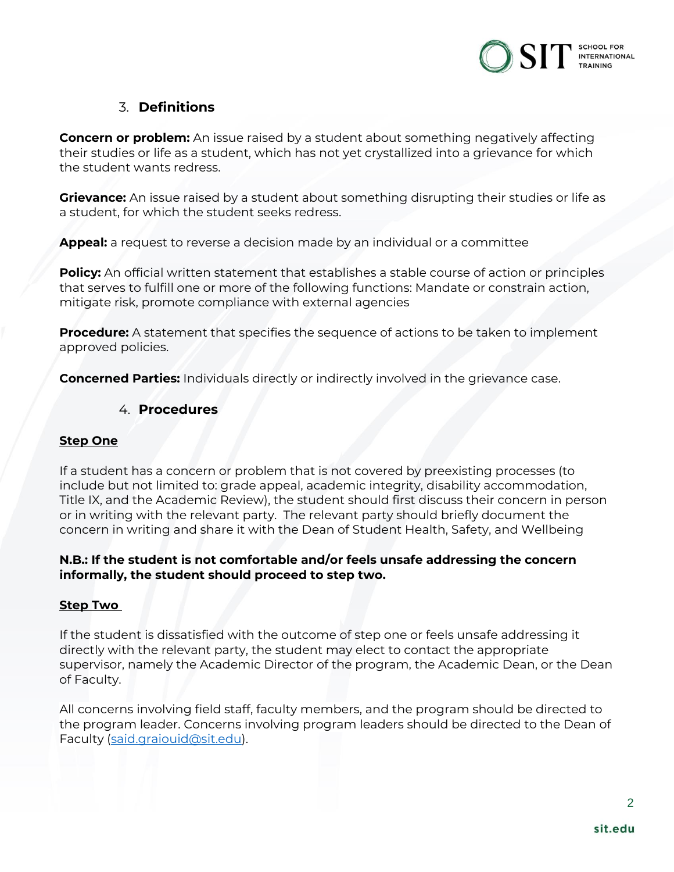

# 3. **Definitions**

**Concern or problem:** An issue raised by a student about something negatively affecting their studies or life as a student, which has not yet crystallized into a grievance for which the student wants redress.

**Grievance:** An issue raised by a student about something disrupting their studies or life as a student, for which the student seeks redress.

**Appeal:** a request to reverse a decision made by an individual or a committee

**Policy:** An official written statement that establishes a stable course of action or principles that serves to fulfill one or more of the following functions: Mandate or constrain action, mitigate risk, promote compliance with external agencies

**Procedure:** A statement that specifies the sequence of actions to be taken to implement approved policies.

**Concerned Parties:** Individuals directly or indirectly involved in the grievance case.

#### 4. **Procedures**

#### **Step One**

If a student has a concern or problem that is not covered by preexisting processes (to include but not limited to: grade appeal, academic integrity, disability accommodation, Title IX, and the Academic Review), the student should first discuss their concern in person or in writing with the relevant party. The relevant party should briefly document the concern in writing and share it with the Dean of Student Health, Safety, and Wellbeing

#### **N.B.: If the student is not comfortable and/or feels unsafe addressing the concern informally, the student should proceed to step two.**

#### **Step Two**

If the student is dissatisfied with the outcome of step one or feels unsafe addressing it directly with the relevant party, the student may elect to contact the appropriate supervisor, namely the Academic Director of the program, the Academic Dean, or the Dean of Faculty.

All concerns involving field staff, faculty members, and the program should be directed to the program leader. Concerns involving program leaders should be directed to the Dean of Faculty [\(said.graiouid@sit.edu\)](mailto:said.graiouid@sit.edu).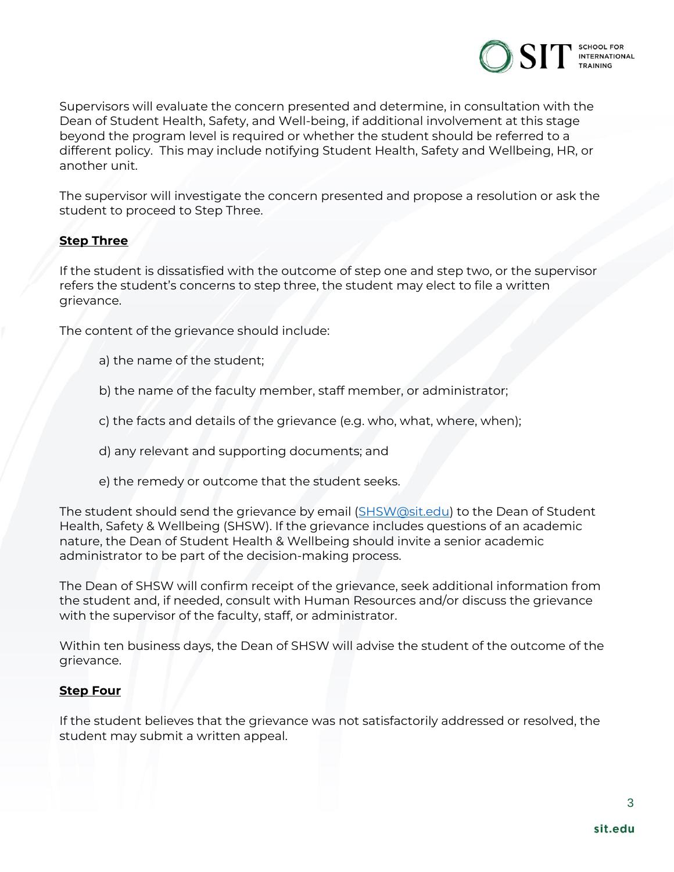

Supervisors will evaluate the concern presented and determine, in consultation with the Dean of Student Health, Safety, and Well-being, if additional involvement at this stage beyond the program level is required or whether the student should be referred to a different policy. This may include notifying Student Health, Safety and Wellbeing, HR, or another unit.

The supervisor will investigate the concern presented and propose a resolution or ask the student to proceed to Step Three.

#### **Step Three**

If the student is dissatisfied with the outcome of step one and step two, or the supervisor refers the student's concerns to step three, the student may elect to file a written grievance.

The content of the grievance should include:

- a) the name of the student;
- b) the name of the faculty member, staff member, or administrator;
- c) the facts and details of the grievance (e.g. who, what, where, when);
- d) any relevant and supporting documents; and
- e) the remedy or outcome that the student seeks.

The student should send the grievance by email [\(SHSW@sit.edu\)](mailto:SHSW@sit.edu) to the Dean of Student Health, Safety & Wellbeing (SHSW). If the grievance includes questions of an academic nature, the Dean of Student Health & Wellbeing should invite a senior academic administrator to be part of the decision-making process.

The Dean of SHSW will confirm receipt of the grievance, seek additional information from the student and, if needed, consult with Human Resources and/or discuss the grievance with the supervisor of the faculty, staff, or administrator.

Within ten business days, the Dean of SHSW will advise the student of the outcome of the grievance.

#### **Step Four**

If the student believes that the grievance was not satisfactorily addressed or resolved, the student may submit a written appeal.

3